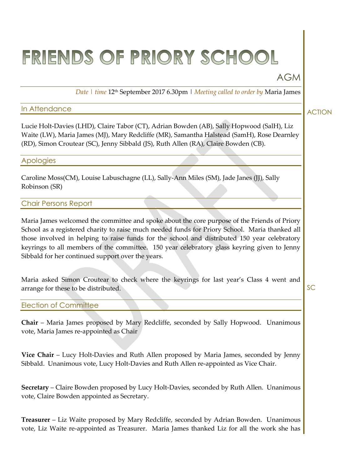# FRIENDS OF PRIORY SCHOOL

# AGM

*Date | time* 12th September 2017 6.30pm | *Meeting called to order by* Maria James

# In Attendance

Lucie Holt-Davies (LHD), Claire Tabor (CT), Adrian Bowden (AB), Sally Hopwood (SalH), Liz Waite (LW), Maria James (MJ), Mary Redcliffe (MR), Samantha Halstead (SamH), Rose Dearnley (RD), Simon Croutear (SC), Jenny Sibbald (JS), Ruth Allen (RA), Claire Bowden (CB).

#### Apologies

Caroline Moss(CM), Louise Labuschagne (LL), Sally-Ann Miles (SM), Jade Janes (JJ), Sally Robinson (SR)

# Chair Persons Report

Maria James welcomed the committee and spoke about the core purpose of the Friends of Priory School as a registered charity to raise much needed funds for Priory School. Maria thanked all those involved in helping to raise funds for the school and distributed 150 year celebratory keyrings to all members of the committee. 150 year celebratory glass keyring given to Jenny Sibbald for her continued support over the years.

Maria asked Simon Croutear to check where the keyrings for last year's Class 4 went and arrange for these to be distributed.

**SC** 

# Election of Committee

**Chair** – Maria James proposed by Mary Redcliffe, seconded by Sally Hopwood. Unanimous vote, Maria James re-appointed as Chair

**Vice Chair** – Lucy Holt-Davies and Ruth Allen proposed by Maria James, seconded by Jenny Sibbald. Unanimous vote, Lucy Holt-Davies and Ruth Allen re-appointed as Vice Chair.

**Secretary** – Claire Bowden proposed by Lucy Holt-Davies, seconded by Ruth Allen. Unanimous vote, Claire Bowden appointed as Secretary.

**Treasurer** – Liz Waite proposed by Mary Redcliffe, seconded by Adrian Bowden. Unanimous vote, Liz Waite re-appointed as Treasurer. Maria James thanked Liz for all the work she has

ACTION